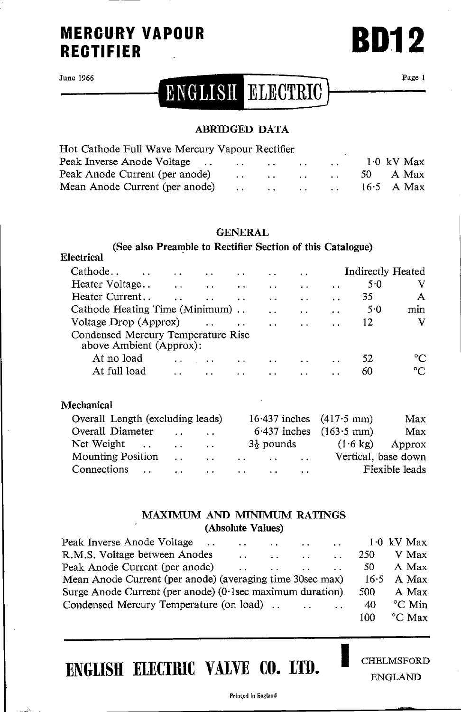### **MERCURY VAPOUR RECTIFIER**

June 1966

Electrical

## ENGLISH ELECTRIC

Page 1

**BD12** 

#### **ABRIDGED DATA**

| Hot Cathode Full Wave Mercury Vapour Rectifier |  |                                                                                                                                                                                                                                       |        |              |
|------------------------------------------------|--|---------------------------------------------------------------------------------------------------------------------------------------------------------------------------------------------------------------------------------------|--------|--------------|
|                                                |  |                                                                                                                                                                                                                                       | $\sim$ | $1.0$ kV Max |
| Peak Anode Current (per anode)                 |  | $\mathbf{r}$ and $\mathbf{r}$ are assumed to the contract of the contract of the contract of the contract of the contract of the contract of the contract of the contract of the contract of the contract of the contract of the cont |        | 50 A Max     |
|                                                |  |                                                                                                                                                                                                                                       |        | $16.5$ A Max |

#### **GENERAL**

#### (See also Preamble to Rectifier Section of this Catalogue)

| Cathode                                                       | $\ddot{\phantom{a}}$ | $\ddot{\phantom{0}}$ |                      |                      | . .                  |                      | <b>Indirectly Heated</b> |     |
|---------------------------------------------------------------|----------------------|----------------------|----------------------|----------------------|----------------------|----------------------|--------------------------|-----|
| Heater Voltage                                                | $\sim$ $\sim$ $\sim$ | $\sim$ $\sim$        | $\ddot{\phantom{a}}$ | $\ddot{\phantom{0}}$ | $\ddot{\phantom{0}}$ | $\ddot{\phantom{0}}$ | $5-0$                    | V   |
| Heater Current                                                |                      |                      |                      |                      |                      | $\cdot$ $\cdot$      | 35                       |     |
| Cathode Heating Time (Minimum)                                |                      |                      |                      | $\ddot{\phantom{1}}$ |                      | $\ddot{\phantom{a}}$ | 5.0                      | mın |
| Voltage Drop (Approx)                                         |                      |                      |                      |                      |                      |                      | 12                       | v   |
| Condensed Mercury Temperature Rise<br>above Ambient (Approx): |                      |                      |                      |                      |                      |                      |                          |     |
| At no load                                                    |                      |                      |                      |                      |                      |                      | 52                       |     |
| At full load                                                  | $\ddot{\phantom{0}}$ | $\ddot{\phantom{1}}$ |                      | $\sim$               |                      | $\ddot{\phantom{a}}$ | 60                       |     |
|                                                               |                      |                      |                      |                      |                      |                      |                          |     |

| Mechanical                       |                                  |                                                                                                                                                                                                                                |           |                       |           |                              |                     |
|----------------------------------|----------------------------------|--------------------------------------------------------------------------------------------------------------------------------------------------------------------------------------------------------------------------------|-----------|-----------------------|-----------|------------------------------|---------------------|
| Overall Length (excluding leads) |                                  |                                                                                                                                                                                                                                |           |                       |           | $16.437$ inches $(417.5$ mm) | Max                 |
| Overall Diameter                 | $\sim$ $\sim$                    | $\sim$ $\sim$ $\sim$                                                                                                                                                                                                           |           |                       |           | $6.437$ inches $(163.5$ mm)  | Max                 |
| Net Weight.                      | <b>Contract Contract Service</b> |                                                                                                                                                                                                                                |           | $3\frac{1}{2}$ pounds |           | $(1.6 \text{ kg})$           | Approx              |
| <b>Mounting Position</b>         |                                  | and the second contract of the second second second second second second second second second second second second second second second second second second second second second second second second second second second se |           |                       |           |                              | Vertical, base down |
| Connections                      | $\ddot{\phantom{0}}$             | $\cdot$ $\cdot$                                                                                                                                                                                                                | $\cdot$ . |                       | $\ddotsc$ |                              | Flexible leads      |

#### MAXIMUM AND MINIMUM RATINGS (Absolute Values)

| Peak Inverse Anode Voltage                                   | $\mathbf{r}$ and $\mathbf{r}$ are assumed to the set of the set of the set of the set of the set of the set of the set of the set of the set of the set of the set of the set of the set of the set of the set of the set of the set |        |                                     |                          |            | $1.0$ kV Max        |
|--------------------------------------------------------------|--------------------------------------------------------------------------------------------------------------------------------------------------------------------------------------------------------------------------------------|--------|-------------------------------------|--------------------------|------------|---------------------|
| R.M.S. Voltage between Anodes                                | $\sim$                                                                                                                                                                                                                               | $\sim$ | $\ddotsc$                           | <b>Contract Contract</b> | <b>250</b> | V Max               |
| Peak Anode Current (per anode)                               | $\sim$ $\sim$ $\sim$                                                                                                                                                                                                                 |        | the commission of the commission of | $\sim$ $\sim$            | -50        | A Max               |
| Mean Anode Current (per anode) (averaging time 30sec max)    |                                                                                                                                                                                                                                      |        |                                     |                          |            | $16.5$ A Max        |
| Surge Anode Current (per anode) $(0.1$ sec maximum duration) |                                                                                                                                                                                                                                      |        |                                     |                          | 500        | A Max               |
| Condensed Mercury Temperature (on load)                      |                                                                                                                                                                                                                                      |        |                                     |                          | 40         | °C Min              |
|                                                              |                                                                                                                                                                                                                                      |        |                                     |                          | 100.       | $\rm ^{\circ}C$ Max |

## ENGLISH ELECTRIC VALVE CO. LTD.

**CHELMSFORD ENGLAND** 

Printed in England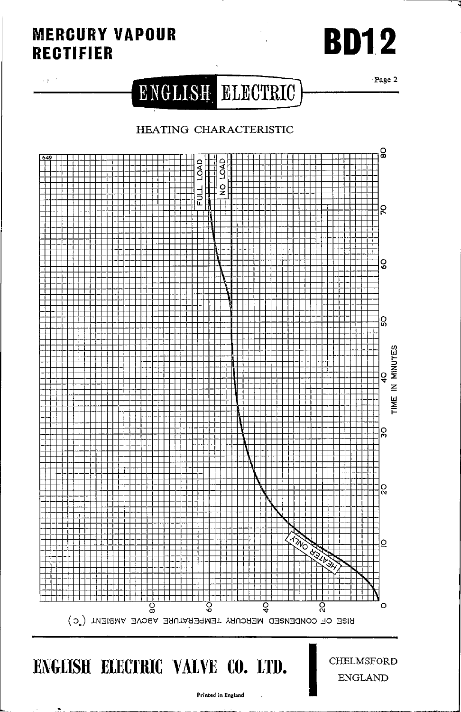## **MERCURY VAPOUR RECTIFIER**

 $\epsilon_{\rm B}$  ,  $\epsilon$ 

# **BD12**

Page 2

## ENGLISH ELECTRIC

### HEATING CHARACTERISTIC



ENGLISH ELECTRIC VALVE CO. LTD.

**CHELMSFORD ENGLAND** 

Printed in England